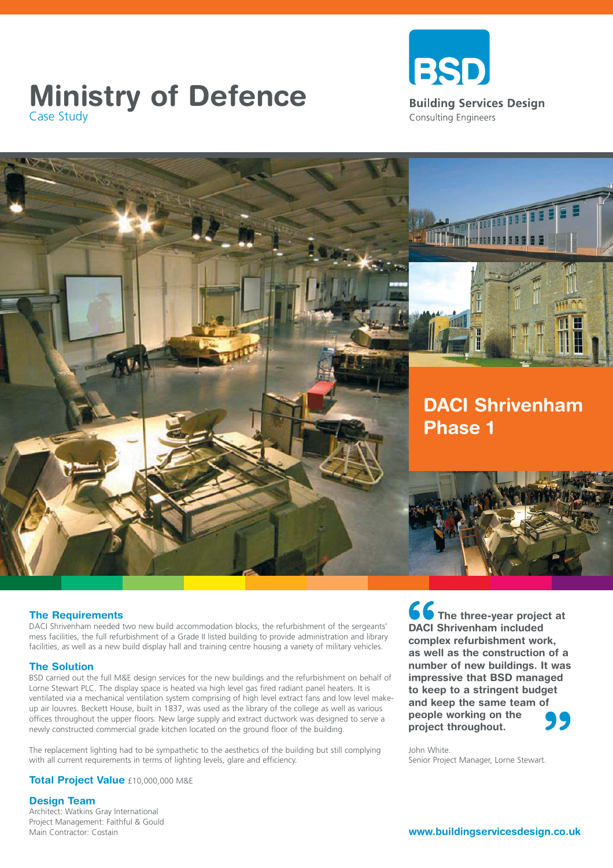## **Ministry of Defence**<br>
Case Study<br>
Case Study Case Study





### **The Requirements**

DACI Shrivenham needed two new build accommodation blocks, the refurbishment of the sergeants' mess facilities, the full refurbishment of a Grade II listed building to provide administration and library facilities, as well as a new build display hall and training centre housing a variety of military vehicles.

### **The Solution**

BSD carried out the full M&E design services for the new buildings and the refurbishment on behalf of Lorne Stewart PLC. The display space is heated via high level gas fired radiant panel heaters. It is ventilated via a mechanical ventilation system comprising of high level extract fans and low level makeup air louvres. Beckett House, built in 1837, was used as the library of the college as well as various offices throughout the upper floors. New large supply and extract ductwork was designed to serve a newly constructed commercial grade kitchen located on the ground floor of the building.

The replacement lighting had to be sympathetic to the aesthetics of the building but still complying with all current requirements in terms of lighting levels, glare and efficiency.

**66**<br>DACI :<br>compl<br>as we **" The three-year project at DACI Shrivenham included complex refurbishment work, as well as the construction of a number of new buildings. It was impressive that BSD managed to keep to a stringent budget and keep the same team of people working on the project throughout.**

John White. Senior Project Manager, Lorne Stewart.

**Total Project Value** £10,000,000 M&E

### **Design Team**

Architect: Watkins Gray International Project Management: Faithful & Gould Main Contractor: Costain

**www.buildingservicesdesign.co.uk**